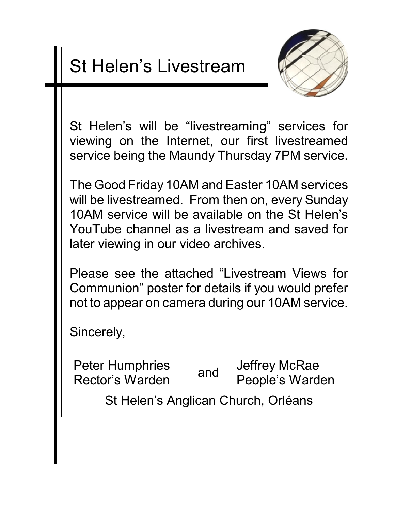## St Helen's Livestream



St Helen's will be "livestreaming" services for viewing on the Internet, our first livestreamed service being the Maundy Thursday 7PM service.

The Good Friday 10AM and Easter 10AM services will be livestreamed. From then on, every Sunday 10AM service will be available on the St Helen's YouTube channel as a livestream and saved for later viewing in our video archives.

Please see the attached "Livestream Views for Communion" poster for details if you would prefer not to appear on camera during our 10AM service.

Sincerely,

Peter Humphries Rector's Warden and Jeffrey McRae People's Warden

St Helen's Anglican Church, Orléans